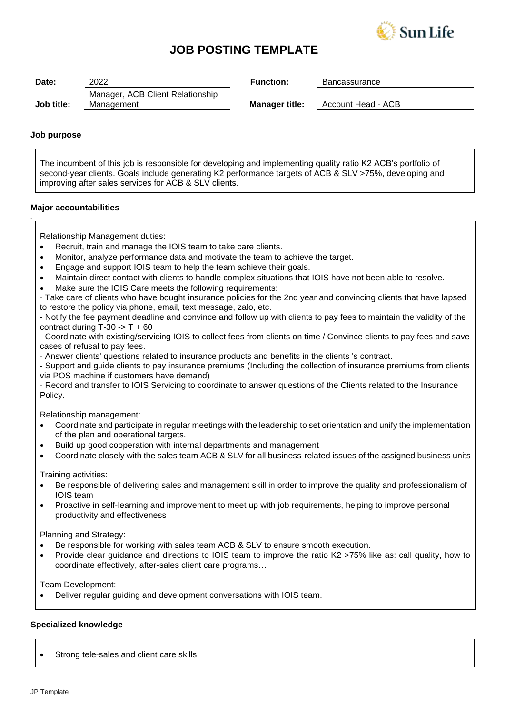

# **JOB POSTING TEMPLATE**

| Date:      | 2022                                           | <b>Function:</b>      | Bancassurance      |
|------------|------------------------------------------------|-----------------------|--------------------|
| Job title: | Manager, ACB Client Relationship<br>Management | <b>Manager title:</b> | Account Head - ACB |

### **Job purpose**

*.*

The incumbent of this job is responsible for developing and implementing quality ratio K2 ACB's portfolio of second-year clients. Goals include generating K2 performance targets of ACB & SLV >75%, developing and improving after sales services for ACB & SLV clients.

### **Major accountabilities**

Relationship Management duties:

- Recruit, train and manage the IOIS team to take care clients.
- Monitor, analyze performance data and motivate the team to achieve the target.
- Engage and support IOIS team to help the team achieve their goals.
- Maintain direct contact with clients to handle complex situations that IOIS have not been able to resolve.
- Make sure the IOIS Care meets the following requirements:

- Take care of clients who have bought insurance policies for the 2nd year and convincing clients that have lapsed to restore the policy via phone, email, text message, zalo, etc.

- Notify the fee payment deadline and convince and follow up with clients to pay fees to maintain the validity of the contract during  $T-30 \rightarrow T + 60$ 

- Coordinate with existing/servicing IOIS to collect fees from clients on time / Convince clients to pay fees and save cases of refusal to pay fees.

- Answer clients' questions related to insurance products and benefits in the clients 's contract.

- Support and guide clients to pay insurance premiums (Including the collection of insurance premiums from clients via POS machine if customers have demand)

- Record and transfer to IOIS Servicing to coordinate to answer questions of the Clients related to the Insurance Policy.

Relationship management:

- Coordinate and participate in regular meetings with the leadership to set orientation and unify the implementation of the plan and operational targets.
- Build up good cooperation with internal departments and management
- Coordinate closely with the sales team ACB & SLV for all business-related issues of the assigned business units

Training activities:

- Be responsible of delivering sales and management skill in order to improve the quality and professionalism of IOIS team
- Proactive in self-learning and improvement to meet up with job requirements, helping to improve personal productivity and effectiveness

Planning and Strategy:

- Be responsible for working with sales team ACB & SLV to ensure smooth execution.
- Provide clear guidance and directions to IOIS team to improve the ratio K2 >75% like as: call quality, how to coordinate effectively, after-sales client care programs…

Team Development:

• Deliver regular guiding and development conversations with IOIS team.

### **Specialized knowledge**

Strong tele-sales and client care skills